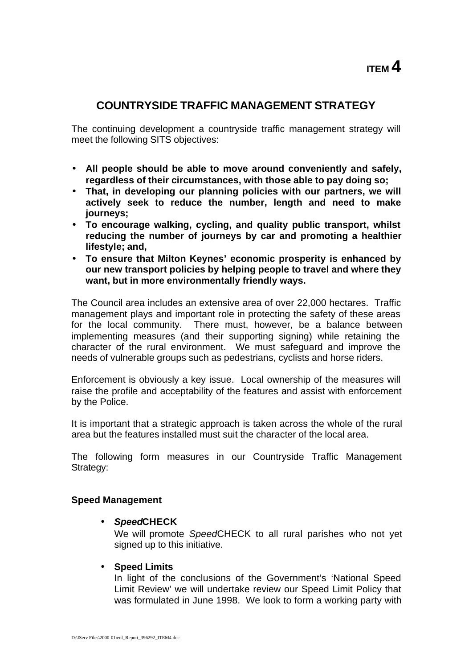# **COUNTRYSIDE TRAFFIC MANAGEMENT STRATEGY**

The continuing development a countryside traffic management strategy will meet the following SITS objectives:

- **All people should be able to move around conveniently and safely, regardless of their circumstances, with those able to pay doing so;**
- **That, in developing our planning policies with our partners, we will actively seek to reduce the number, length and need to make journeys;**
- **To encourage walking, cycling, and quality public transport, whilst reducing the number of journeys by car and promoting a healthier lifestyle; and,**
- **To ensure that Milton Keynes' economic prosperity is enhanced by our new transport policies by helping people to travel and where they want, but in more environmentally friendly ways.**

The Council area includes an extensive area of over 22,000 hectares. Traffic management plays and important role in protecting the safety of these areas for the local community. There must, however, be a balance between implementing measures (and their supporting signing) while retaining the character of the rural environment. We must safeguard and improve the needs of vulnerable groups such as pedestrians, cyclists and horse riders.

Enforcement is obviously a key issue. Local ownership of the measures will raise the profile and acceptability of the features and assist with enforcement by the Police.

It is important that a strategic approach is taken across the whole of the rural area but the features installed must suit the character of the local area.

The following form measures in our Countryside Traffic Management Strategy:

## **Speed Management**

• *Speed***CHECK**

We will promote *Speed*CHECK to all rural parishes who not yet signed up to this initiative.

• **Speed Limits**

In light of the conclusions of the Government's 'National Speed Limit Review' we will undertake review our Speed Limit Policy that was formulated in June 1998. We look to form a working party with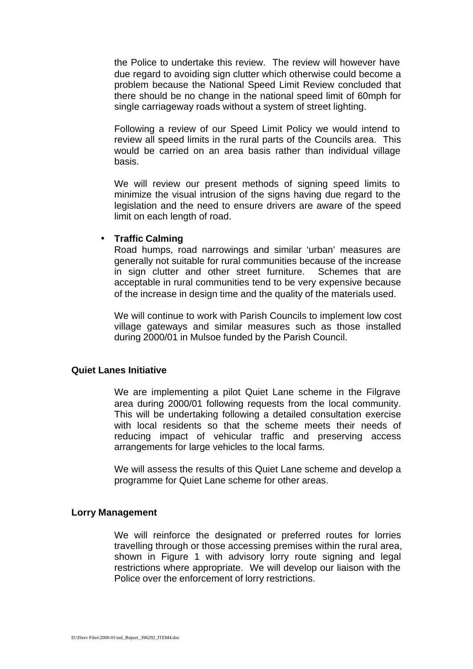the Police to undertake this review. The review will however have due regard to avoiding sign clutter which otherwise could become a problem because the National Speed Limit Review concluded that there should be no change in the national speed limit of 60mph for single carriageway roads without a system of street lighting.

Following a review of our Speed Limit Policy we would intend to review all speed limits in the rural parts of the Councils area. This would be carried on an area basis rather than individual village basis.

We will review our present methods of signing speed limits to minimize the visual intrusion of the signs having due regard to the legislation and the need to ensure drivers are aware of the speed limit on each length of road.

### • **Traffic Calming**

Road humps, road narrowings and similar 'urban' measures are generally not suitable for rural communities because of the increase in sign clutter and other street furniture. Schemes that are acceptable in rural communities tend to be very expensive because of the increase in design time and the quality of the materials used.

We will continue to work with Parish Councils to implement low cost village gateways and similar measures such as those installed during 2000/01 in Mulsoe funded by the Parish Council.

### **Quiet Lanes Initiative**

We are implementing a pilot Quiet Lane scheme in the Filgrave area during 2000/01 following requests from the local community. This will be undertaking following a detailed consultation exercise with local residents so that the scheme meets their needs of reducing impact of vehicular traffic and preserving access arrangements for large vehicles to the local farms.

We will assess the results of this Quiet Lane scheme and develop a programme for Quiet Lane scheme for other areas.

## **Lorry Management**

We will reinforce the designated or preferred routes for lorries travelling through or those accessing premises within the rural area, shown in Figure 1 with advisory lorry route signing and legal restrictions where appropriate. We will develop our liaison with the Police over the enforcement of lorry restrictions.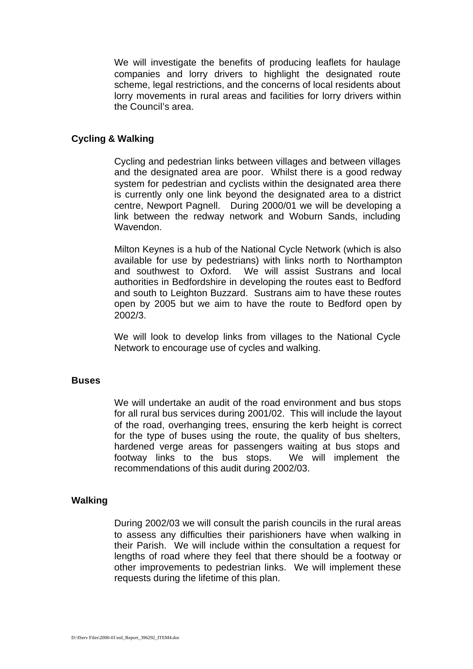We will investigate the benefits of producing leaflets for haulage companies and lorry drivers to highlight the designated route scheme, legal restrictions, and the concerns of local residents about lorry movements in rural areas and facilities for lorry drivers within the Council's area.

### **Cycling & Walking**

Cycling and pedestrian links between villages and between villages and the designated area are poor. Whilst there is a good redway system for pedestrian and cyclists within the designated area there is currently only one link beyond the designated area to a district centre, Newport Pagnell. During 2000/01 we will be developing a link between the redway network and Woburn Sands, including Wavendon.

Milton Keynes is a hub of the National Cycle Network (which is also available for use by pedestrians) with links north to Northampton and southwest to Oxford. We will assist Sustrans and local authorities in Bedfordshire in developing the routes east to Bedford and south to Leighton Buzzard. Sustrans aim to have these routes open by 2005 but we aim to have the route to Bedford open by 2002/3.

We will look to develop links from villages to the National Cycle Network to encourage use of cycles and walking.

#### **Buses**

We will undertake an audit of the road environment and bus stops for all rural bus services during 2001/02. This will include the layout of the road, overhanging trees, ensuring the kerb height is correct for the type of buses using the route, the quality of bus shelters, hardened verge areas for passengers waiting at bus stops and footway links to the bus stops. We will implement the recommendations of this audit during 2002/03.

#### **Walking**

During 2002/03 we will consult the parish councils in the rural areas to assess any difficulties their parishioners have when walking in their Parish. We will include within the consultation a request for lengths of road where they feel that there should be a footway or other improvements to pedestrian links. We will implement these requests during the lifetime of this plan.